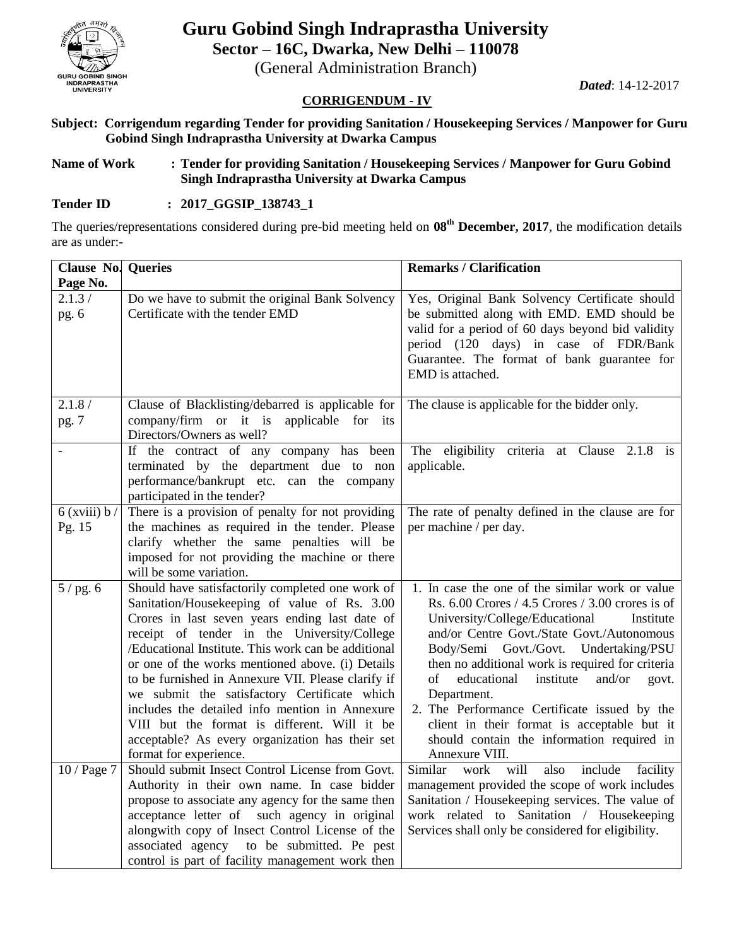

# **Guru Gobind Singh Indraprastha University Sector – 16C, Dwarka, New Delhi – 110078**

(General Administration Branch)

*Dated*: 14-12-2017

#### **CORRIGENDUM - IV**

**Subject: Corrigendum regarding Tender for providing Sanitation / Housekeeping Services / Manpower for Guru Gobind Singh Indraprastha University at Dwarka Campus**

#### **Name of Work : Tender for providing Sanitation / Housekeeping Services / Manpower for Guru Gobind Singh Indraprastha University at Dwarka Campus**

## **Tender ID : 2017\_GGSIP\_138743\_1**

The queries/representations considered during pre-bid meeting held on **08th December, 2017**, the modification details are as under:-

| <b>Clause No. Queries</b>  |                                                                                                                                                                                                                                                                                                                                                                                                                                                                                                                                                                                                   | <b>Remarks / Clarification</b>                                                                                                                                                                                                                                                                                                                                                                                                                                                                                                         |
|----------------------------|---------------------------------------------------------------------------------------------------------------------------------------------------------------------------------------------------------------------------------------------------------------------------------------------------------------------------------------------------------------------------------------------------------------------------------------------------------------------------------------------------------------------------------------------------------------------------------------------------|----------------------------------------------------------------------------------------------------------------------------------------------------------------------------------------------------------------------------------------------------------------------------------------------------------------------------------------------------------------------------------------------------------------------------------------------------------------------------------------------------------------------------------------|
| Page No.                   |                                                                                                                                                                                                                                                                                                                                                                                                                                                                                                                                                                                                   |                                                                                                                                                                                                                                                                                                                                                                                                                                                                                                                                        |
| 2.1.3/<br>pg. 6            | Do we have to submit the original Bank Solvency<br>Certificate with the tender EMD                                                                                                                                                                                                                                                                                                                                                                                                                                                                                                                | Yes, Original Bank Solvency Certificate should<br>be submitted along with EMD. EMD should be<br>valid for a period of 60 days beyond bid validity<br>period (120 days) in case of FDR/Bank<br>Guarantee. The format of bank guarantee for<br>EMD is attached.                                                                                                                                                                                                                                                                          |
| 2.1.8/<br>pg. 7            | Clause of Blacklisting/debarred is applicable for<br>company/firm or it is applicable for its<br>Directors/Owners as well?                                                                                                                                                                                                                                                                                                                                                                                                                                                                        | The clause is applicable for the bidder only.                                                                                                                                                                                                                                                                                                                                                                                                                                                                                          |
|                            | If the contract of any company has<br>been<br>terminated by the department due to non<br>performance/bankrupt etc. can the company<br>participated in the tender?                                                                                                                                                                                                                                                                                                                                                                                                                                 | The eligibility criteria at Clause 2.1.8 is<br>applicable.                                                                                                                                                                                                                                                                                                                                                                                                                                                                             |
| $6$ (xviii) $b/$<br>Pg. 15 | There is a provision of penalty for not providing<br>the machines as required in the tender. Please<br>clarify whether the same penalties will be<br>imposed for not providing the machine or there<br>will be some variation.                                                                                                                                                                                                                                                                                                                                                                    | The rate of penalty defined in the clause are for<br>per machine / per day.                                                                                                                                                                                                                                                                                                                                                                                                                                                            |
| 5/pg.6                     | Should have satisfactorily completed one work of<br>Sanitation/Housekeeping of value of Rs. 3.00<br>Crores in last seven years ending last date of<br>receipt of tender in the University/College<br>/Educational Institute. This work can be additional<br>or one of the works mentioned above. (i) Details<br>to be furnished in Annexure VII. Please clarify if<br>we submit the satisfactory Certificate which<br>includes the detailed info mention in Annexure<br>VIII but the format is different. Will it be<br>acceptable? As every organization has their set<br>format for experience. | 1. In case the one of the similar work or value<br>Rs. $6.00$ Crores $/ 4.5$ Crores $/ 3.00$ crores is of<br>University/College/Educational<br>Institute<br>and/or Centre Govt./State Govt./Autonomous<br>Body/Semi Govt./Govt. Undertaking/PSU<br>then no additional work is required for criteria<br>of<br>educational<br>institute<br>and/or<br>govt.<br>Department.<br>2. The Performance Certificate issued by the<br>client in their format is acceptable but it<br>should contain the information required in<br>Annexure VIII. |
| 10 / Page 7                | Should submit Insect Control License from Govt.<br>Authority in their own name. In case bidder<br>propose to associate any agency for the same then<br>acceptance letter of such agency in original<br>alongwith copy of Insect Control License of the<br>associated agency to be submitted. Pe pest<br>control is part of facility management work then                                                                                                                                                                                                                                          | Similar<br>will<br>work<br>include<br>also<br>facility<br>management provided the scope of work includes<br>Sanitation / Housekeeping services. The value of<br>work related to Sanitation / Housekeeping<br>Services shall only be considered for eligibility.                                                                                                                                                                                                                                                                        |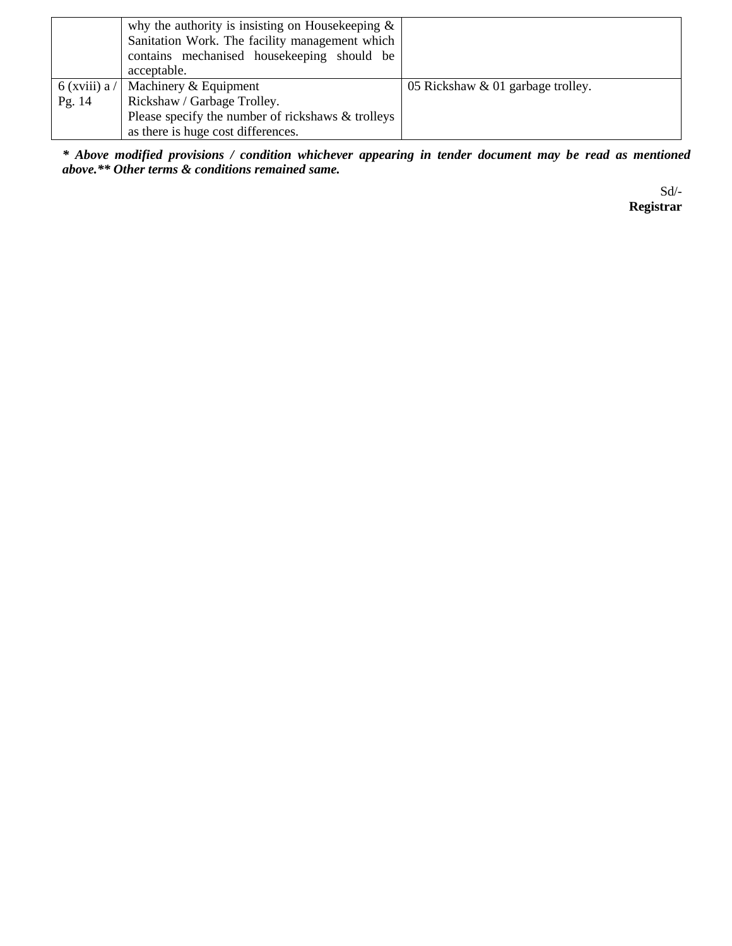|                 | why the authority is insisting on Housekeeping $\&$ |                                   |
|-----------------|-----------------------------------------------------|-----------------------------------|
|                 | Sanitation Work. The facility management which      |                                   |
|                 | contains mechanised housekeeping should be          |                                   |
|                 | acceptable.                                         |                                   |
| $6$ (xviii) a / | Machinery & Equipment                               | 05 Rickshaw & 01 garbage trolley. |
| Pg. 14          | Rickshaw / Garbage Trolley.                         |                                   |
|                 | Please specify the number of rickshaws & trolleys   |                                   |
|                 | as there is huge cost differences.                  |                                   |

*\* Above modified provisions / condition whichever appearing in tender document may be read as mentioned above.\*\* Other terms & conditions remained same.*

 Sd/-  **Registrar**